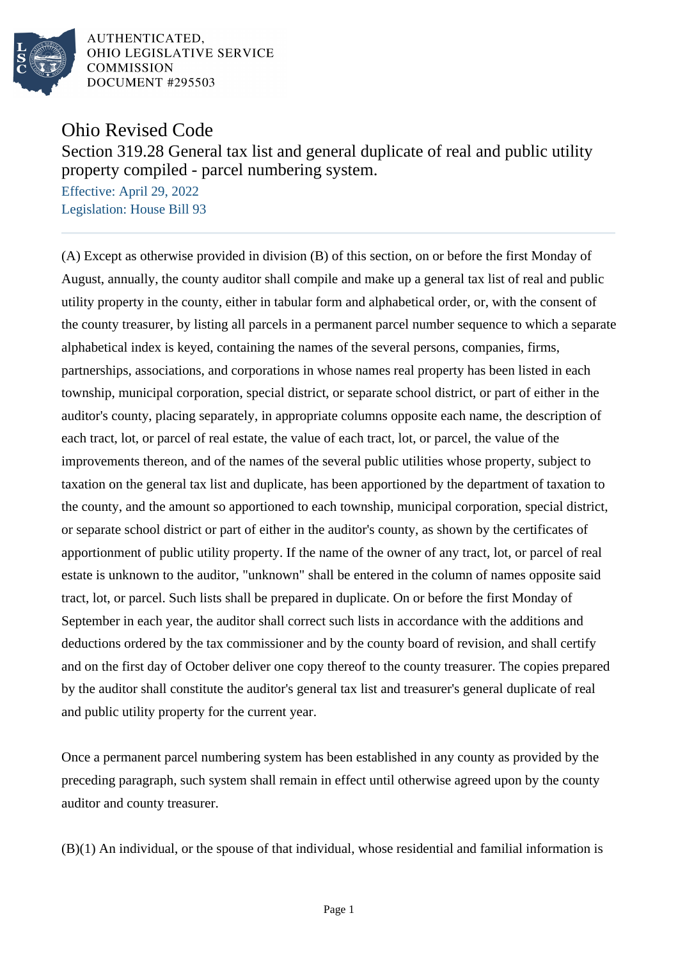

AUTHENTICATED. OHIO LEGISLATIVE SERVICE **COMMISSION DOCUMENT #295503** 

Ohio Revised Code

## Section 319.28 General tax list and general duplicate of real and public utility property compiled - parcel numbering system.

Effective: April 29, 2022 Legislation: House Bill 93

(A) Except as otherwise provided in division (B) of this section, on or before the first Monday of August, annually, the county auditor shall compile and make up a general tax list of real and public utility property in the county, either in tabular form and alphabetical order, or, with the consent of the county treasurer, by listing all parcels in a permanent parcel number sequence to which a separate alphabetical index is keyed, containing the names of the several persons, companies, firms, partnerships, associations, and corporations in whose names real property has been listed in each township, municipal corporation, special district, or separate school district, or part of either in the auditor's county, placing separately, in appropriate columns opposite each name, the description of each tract, lot, or parcel of real estate, the value of each tract, lot, or parcel, the value of the improvements thereon, and of the names of the several public utilities whose property, subject to taxation on the general tax list and duplicate, has been apportioned by the department of taxation to the county, and the amount so apportioned to each township, municipal corporation, special district, or separate school district or part of either in the auditor's county, as shown by the certificates of apportionment of public utility property. If the name of the owner of any tract, lot, or parcel of real estate is unknown to the auditor, "unknown" shall be entered in the column of names opposite said tract, lot, or parcel. Such lists shall be prepared in duplicate. On or before the first Monday of September in each year, the auditor shall correct such lists in accordance with the additions and deductions ordered by the tax commissioner and by the county board of revision, and shall certify and on the first day of October deliver one copy thereof to the county treasurer. The copies prepared by the auditor shall constitute the auditor's general tax list and treasurer's general duplicate of real and public utility property for the current year.

Once a permanent parcel numbering system has been established in any county as provided by the preceding paragraph, such system shall remain in effect until otherwise agreed upon by the county auditor and county treasurer.

(B)(1) An individual, or the spouse of that individual, whose residential and familial information is